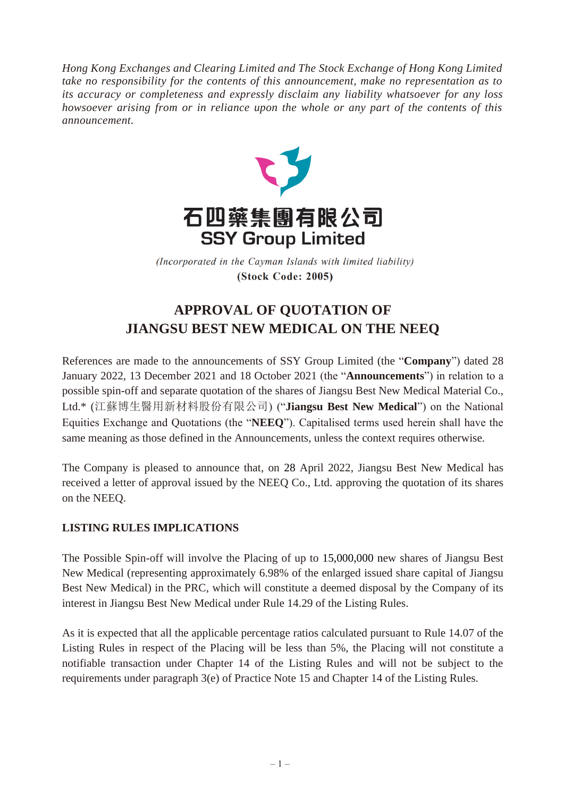*Hong Kong Exchanges and Clearing Limited and The Stock Exchange of Hong Kong Limited take no responsibility for the contents of this announcement, make no representation as to its accuracy or completeness and expressly disclaim any liability whatsoever for any loss howsoever arising from or in reliance upon the whole or any part of the contents of this announcement.*



(Incorporated in the Cayman Islands with limited liability) **(Stock Code: 2005)** 

## **APPROVAL OF QUOTATION OF JIANGSU BEST NEW MEDICAL ON THE NEEQ**

References are made to the announcements of SSY Group Limited (the "**Company**") dated 28 January 2022, 13 December 2021 and 18 October 2021 (the "**Announcements**") in relation to a possible spin-off and separate quotation of the shares of Jiangsu Best New Medical Material Co., Ltd.\* (江蘇博生醫用新材料股份有限公司) ("**Jiangsu Best New Medical**") on the National Equities Exchange and Quotations (the "**NEEQ**"). Capitalised terms used herein shall have the same meaning as those defined in the Announcements, unless the context requires otherwise.

The Company is pleased to announce that, on 28 April 2022, Jiangsu Best New Medical has received a letter of approval issued by the NEEQ Co., Ltd. approving the quotation of its shares on the NEEQ.

## **LISTING RULES IMPLICATIONS**

The Possible Spin-off will involve the Placing of up to 15,000,000 new shares of Jiangsu Best New Medical (representing approximately 6.98% of the enlarged issued share capital of Jiangsu Best New Medical) in the PRC, which will constitute a deemed disposal by the Company of its interest in Jiangsu Best New Medical under Rule 14.29 of the Listing Rules.

As it is expected that all the applicable percentage ratios calculated pursuant to Rule 14.07 of the Listing Rules in respect of the Placing will be less than 5%, the Placing will not constitute a notifiable transaction under Chapter 14 of the Listing Rules and will not be subject to the requirements under paragraph 3(e) of Practice Note 15 and Chapter 14 of the Listing Rules.